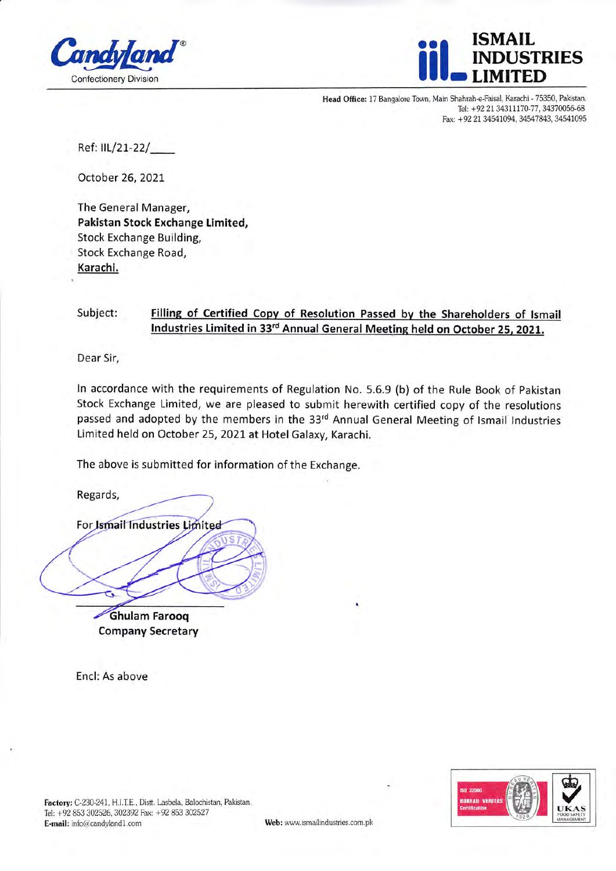



Head Office: 17 Bangalore Town, Main Shahrah-e-Faisal. Karachi - 75350, Pakistan. Tel: +92 21 34311170-77, 34370056-68 Fax: +92 21 34541094, 34547843, 34541095

Ref: llL/21-22/\_

October 26,2021,

The General Manager, Pakistan Stock Exchange Limited, Stock Exchange Building, Stock Exchange Road, Karachi.

## Subject: Filling of Certified Copy of Resolution Passed by the Shareholders of Ismail Industries Limited in 33<sup>rd</sup> Annual General Meeting held on October 25, 2021.

Dear Sir,

ln accordance with the requirements of Regulation No. 5.6.9 (b) of the Rule Book of Pakistan Stock Exchange Limited, we are pleased to submit herewith certified copy of the resolutions passed and adopted by the members in the 33rd Annual General Meeting of Ismail Industries Limited held on October 25, 2021 at Hotel Galaxy, Karachi.

The above is submitted for information of the Exchange.

Regards,

For *Ismail* Industries

**Ghulam Farooq** Company Secretary

Encl: As above



Factory: C-230-241, H.I.T.E., Distt. Lasbela, Balochistan, Pakistan. Tel: +92 853 302526, 302392 Fax: +92 853 302527 E-mail: info@candyland1.com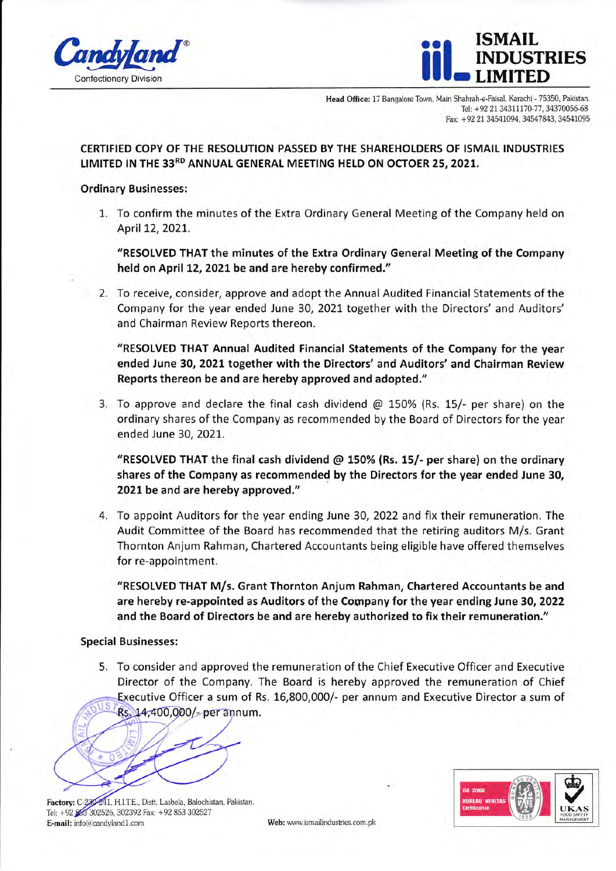



Head Office: 17 Bangalore Town, Main Shahrah-e-Faisai. Karachi - 75350, Pakistan. Tel: +92 21 34311170-77, 34370056-68 Fax: +92 21 34541094, 34547843, 34541095

## CERTIFIED COPY OF THE RESOLUTION PASSED BY THE SHAREHOLDERS OF ISMAIL INDUSTRIES LIMITED IN THE 33RD ANNUAL GENERAL MEETING HELD ON OCTOER 25, 2021.

## Ordinary Businesses:

L. To confirm the minutes of the Extra Ordinary General Meeting of the Company held on April 12,2O2L.

'RESOLVED THAT the minutes of the Extra Ordinary General Meeting of the Company held on April 12, 2021 be and are hereby confirmed."

2. To receive, consider, approve and adopt the Annual Audited Financial Statements of the Company for the year ended June 30, 2021 together with the Directors' and Auditors' and Chairman Review Reports thereon.

"RESOLVED THAT Annual Audited Financial Statements of the Company for the year ended June 30, 2021 together with the Directors' and Auditors' and Chairman Review Reports thereon be and are hereby approved and adopted."

3. To approve and declare the final cash dividend  $\omega$  150% (Rs. 15/- per share) on the ordinary shares of the Company as recommended by the Board of Directors for the year ended June 30, 2021.

"RESOLVED THAT the final cash dividend  $\omega$  150% (Rs. 15/- per share) on the ordinary shares of the Company as recommended by the Directors for the year ended June 30, 2021 be and are hereby approved."

4. To appoint Auditors for the year ending June 30, 2022 and fix their remuneration. The Audit Committee of the Board has recommended that the retiring auditors M/s. Grant Thornton Anjum Rahman, Chartered Accountants being eligible have offered themselves for re-appointment.

"RESOLVED THAT M/s. Grant Thornton Anjum Rahman, Chartered Accountants be and are hereby re-appointed as Auditors of the Company for the year ending June 30, 2022 and the Board of Directors be and are hereby authorized to fix their remuneration."

## Special Businesses:

5. To consider and approved the remuneration of the Chief Executive Officer and Executive Director of the Company. The Board is hereby approved the remuneration of Chief Executive Officer a sum of Rs. 16,800,000/- per annum and Executive Director a sum of Rs. 14,400,000/-per annum.



**Factory:** C-230-241, H.I.T.E., Distt. Lasbela, Balochistan, Pakistan Tel: +92 853 302526, 302392 Fax: +92 853 302527 E-mail: info@candyland1.com Web: www.ismailindustries.com.pk

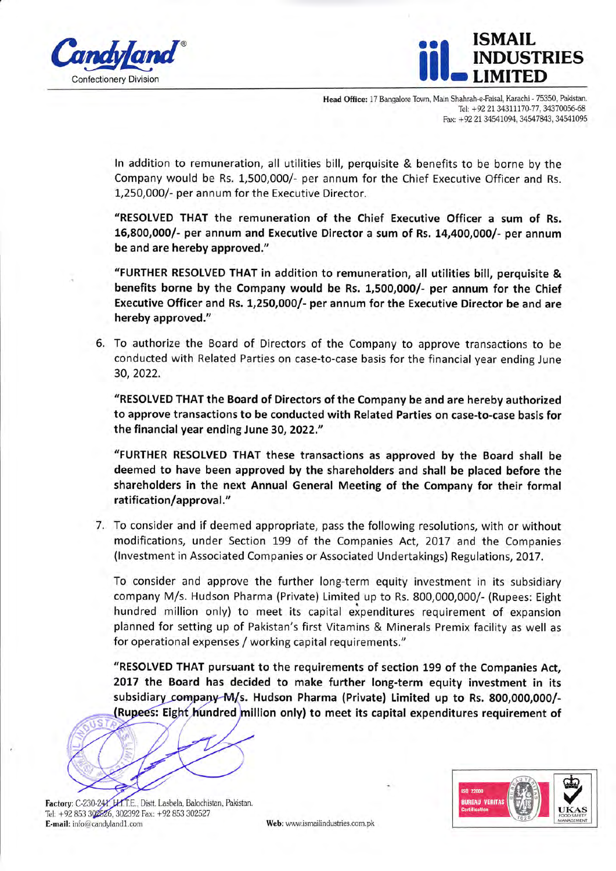



Head Office: 17 Bangalore Town, Main Shahrah-e-Faisal, Karachi - 75350, Pakistan. Tel: +92 21 34311170-77, 34370056-68 Fax: +92 21 34541094, 34547843, 34541095

ln addition to remuneration, all utilities bill, perquisite & benefits to be borne by the Company would be Rs. 1,500,000/- per annum for the Chief Executive Officer and Rs. 1,250,00O/- per annum for the Executive Director.

"RESOLVED THAT the remuneration of the Chief Executive Officer a sum of Rs. 16,800,0001- per annum and Executive Director a sum of Rs. 14,400,000/- per annum be and are hereby approved."

"FURTHER RESOLVED THAT in addition to remuneration, all utilities bill, perquisite & benefits borne by the Company would be Rs. 1,500,000/- per annum for the Chief Executive Officer and Rs. 1,250,000/- per annum for the Executive Director be and are hereby approved."

6. To authorize the Board of Directors of the Company to approve transactions to be conducted with Related Parties on case-to-case basis for the financial year ending June 30,2022.

"RESOLVED THAT the Board of Directors of the Company be and are hereby authorized to approve transactions to be conducted with Related Parties on case-to-case basis for the financial year ending June 30, 2022."

"FURTHER RESOLVED THAT these transactions as approved by the Board shall be deemed to have been approved by the shareholders and shall be placed before the shareholders in the next Annual Generdl Meeting of the Company for their formal ratification/approval."

7. To consider and if deemed appropriate, pass the following resolutions, with or without modifications, under Section 199 of the Companies Act, 2017 and the Companies (lnvestment in Associated Companies or Associated Undertakings) Regulations, 2Ot7 .

To consider and approve the further long-term equity investment in its subsidiary company M/s. Hudson Pharma (Private) Limited up to Rs. 800,OOO,OO0/- (Rupees: Eight hundred million only) to meet its capital expenditures requirement of expansion planned for setting up of Pakistan's first Vitamins & Minerals Premix facility as well as for operational expenses / working capital requirements."

"RESOLVED THAT pursuant to the requirements of section 199 of the Companies Act, 2017 the Board has decided to make further long-term equity investment in its subsidiary company-M/s. Hudson Pharma (Private) Limited up to Rs. 800,000,000/dred million only) to meet its capital expenditures requirement of

Factory: Tel: +92 853 302526, 302392 E-mail: info@candyland1.com Web: www.ismailindustries.com.pk

Distt. Lasbela, Balochistan, Pakistan.<br>Fax: +92 853 302527 LIKAS  $\sum_{\kappa_A}$